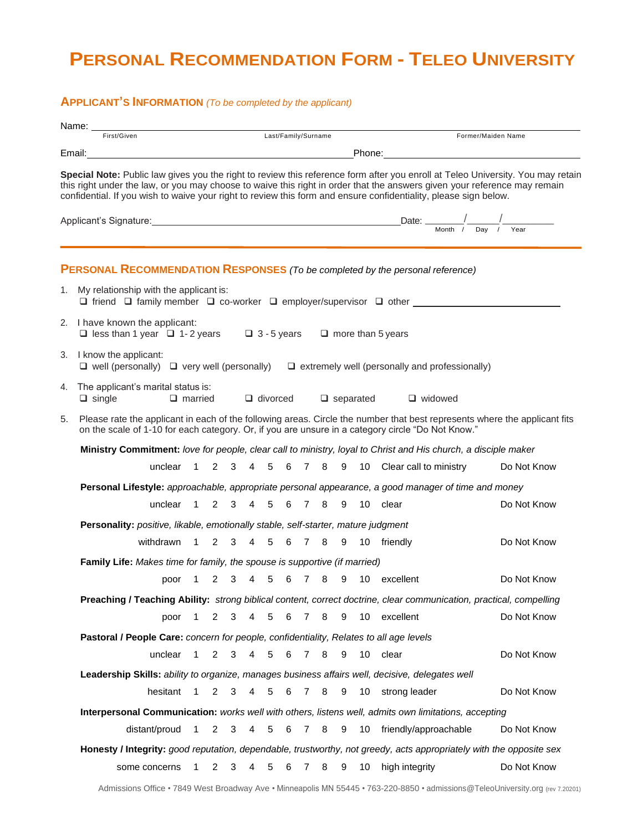## **PERSONAL RECOMMENDATION FORM - TELEO UNIVERSITY**

## **APPLICANT'S INFORMATION** *(To be completed by the applicant)*

|             | Name: ___                                                                                                                                                                                                                                                                                                                                                                                                                                                                                                                                                                                                          |                                                                                                                                                                                                                                |                |                     |                |   |   |                |   |   |                 |                                                     |                |  |  |             |  |
|-------------|--------------------------------------------------------------------------------------------------------------------------------------------------------------------------------------------------------------------------------------------------------------------------------------------------------------------------------------------------------------------------------------------------------------------------------------------------------------------------------------------------------------------------------------------------------------------------------------------------------------------|--------------------------------------------------------------------------------------------------------------------------------------------------------------------------------------------------------------------------------|----------------|---------------------|----------------|---|---|----------------|---|---|-----------------|-----------------------------------------------------|----------------|--|--|-------------|--|
| First/Given |                                                                                                                                                                                                                                                                                                                                                                                                                                                                                                                                                                                                                    |                                                                                                                                                                                                                                |                | Last/Family/Surname |                |   |   |                |   |   |                 | Former/Maiden Name                                  |                |  |  |             |  |
|             | Email: Phone: Phone: Phone: Phone: Phone: Phone: Phone: Phone: Phone: Phone: Phone: Phone: Phone: Phone: Phone: Phone: Phone: Phone: Phone: Phone: Phone: Phone: Phone: Phone: Phone: Phone: Phone: Phone: Phone: Phone: Phone<br>Special Note: Public law gives you the right to review this reference form after you enroll at Teleo University. You may retain<br>this right under the law, or you may choose to waive this right in order that the answers given your reference may remain<br>confidential. If you wish to waive your right to review this form and ensure confidentiality, please sign below. |                                                                                                                                                                                                                                |                |                     |                |   |   |                |   |   |                 |                                                     |                |  |  |             |  |
|             | Applicant's Signature: <u> Month / Day / Year</u> Date: <u> Month / Day / Year</u> Nonth / Day / Year  Nonth / Day / Year  Nonth / Day / Year  Nonth / Day / Year  Nonth / Day / Year  Nonth / Day / Year  Nonth / Day / Year  Nonth /                                                                                                                                                                                                                                                                                                                                                                             |                                                                                                                                                                                                                                |                |                     |                |   |   |                |   |   |                 |                                                     |                |  |  |             |  |
|             | <b>PERSONAL RECOMMENDATION RESPONSES</b> (To be completed by the personal reference)                                                                                                                                                                                                                                                                                                                                                                                                                                                                                                                               |                                                                                                                                                                                                                                |                |                     |                |   |   |                |   |   |                 |                                                     |                |  |  |             |  |
|             | 1. My relationship with the applicant is:<br>$\Box$ friend $\Box$ family member $\Box$ co-worker $\Box$ employer/supervisor $\Box$ other                                                                                                                                                                                                                                                                                                                                                                                                                                                                           |                                                                                                                                                                                                                                |                |                     |                |   |   |                |   |   |                 |                                                     |                |  |  |             |  |
|             | 2. I have known the applicant:<br>□ less than 1 year □ 1-2 years □ 3 - 5 years □ more than 5 years                                                                                                                                                                                                                                                                                                                                                                                                                                                                                                                 |                                                                                                                                                                                                                                |                |                     |                |   |   |                |   |   |                 |                                                     |                |  |  |             |  |
|             | 3. I know the applicant:<br>$\Box$ well (personally) $\Box$ very well (personally) $\Box$ extremely well (personally and professionally)                                                                                                                                                                                                                                                                                                                                                                                                                                                                           |                                                                                                                                                                                                                                |                |                     |                |   |   |                |   |   |                 |                                                     |                |  |  |             |  |
| 4.          | The applicant's marital status is:<br>$\Box$ single                                                                                                                                                                                                                                                                                                                                                                                                                                                                                                                                                                | $\Box$ married                                                                                                                                                                                                                 |                |                     |                |   |   |                |   |   |                 | $\Box$ divorced $\Box$ separated                    | $\Box$ widowed |  |  |             |  |
| 5.          |                                                                                                                                                                                                                                                                                                                                                                                                                                                                                                                                                                                                                    | Please rate the applicant in each of the following areas. Circle the number that best represents where the applicant fits<br>on the scale of 1-10 for each category. Or, if you are unsure in a category circle "Do Not Know." |                |                     |                |   |   |                |   |   |                 |                                                     |                |  |  |             |  |
|             |                                                                                                                                                                                                                                                                                                                                                                                                                                                                                                                                                                                                                    | Ministry Commitment: love for people, clear call to ministry, loyal to Christ and His church, a disciple maker                                                                                                                 |                |                     |                |   |   |                |   |   |                 |                                                     |                |  |  |             |  |
|             |                                                                                                                                                                                                                                                                                                                                                                                                                                                                                                                                                                                                                    |                                                                                                                                                                                                                                |                |                     |                |   |   |                |   |   |                 | unclear 1 2 3 4 5 6 7 8 9 10 Clear call to ministry |                |  |  | Do Not Know |  |
|             | Personal Lifestyle: approachable, appropriate personal appearance, a good manager of time and money                                                                                                                                                                                                                                                                                                                                                                                                                                                                                                                |                                                                                                                                                                                                                                |                |                     |                |   |   |                |   |   |                 |                                                     |                |  |  |             |  |
|             | unclear 1 2 3 4 5 6 7 8 9 10 clear                                                                                                                                                                                                                                                                                                                                                                                                                                                                                                                                                                                 |                                                                                                                                                                                                                                |                |                     |                |   |   |                |   |   |                 |                                                     |                |  |  | Do Not Know |  |
|             |                                                                                                                                                                                                                                                                                                                                                                                                                                                                                                                                                                                                                    | Personality: positive, likable, emotionally stable, self-starter, mature judgment                                                                                                                                              |                |                     |                |   |   |                |   |   |                 |                                                     |                |  |  |             |  |
|             | withdrawn 1 2 3 4 5 6 7 8 9 10 friendly                                                                                                                                                                                                                                                                                                                                                                                                                                                                                                                                                                            |                                                                                                                                                                                                                                |                |                     |                |   |   |                |   |   |                 |                                                     |                |  |  | Do Not Know |  |
|             |                                                                                                                                                                                                                                                                                                                                                                                                                                                                                                                                                                                                                    | <b>Family Life:</b> Makes time for family, the spouse is supportive (if married)                                                                                                                                               |                |                     |                |   |   |                |   |   |                 |                                                     |                |  |  |             |  |
|             |                                                                                                                                                                                                                                                                                                                                                                                                                                                                                                                                                                                                                    |                                                                                                                                                                                                                                |                |                     |                |   |   |                |   |   |                 | poor 1 2 3 4 5 6 7 8 9 10 excellent                 |                |  |  | Do Not Know |  |
|             | Preaching / Teaching Ability: strong biblical content, correct doctrine, clear communication, practical, compelling                                                                                                                                                                                                                                                                                                                                                                                                                                                                                                |                                                                                                                                                                                                                                |                |                     |                |   |   |                |   |   |                 |                                                     |                |  |  |             |  |
|             | poor                                                                                                                                                                                                                                                                                                                                                                                                                                                                                                                                                                                                               | 1                                                                                                                                                                                                                              | 2              | 3                   | 4              | 5 | 6 | $\overline{7}$ | 8 | 9 | 10              | excellent                                           |                |  |  | Do Not Know |  |
|             | Pastoral / People Care: concern for people, confidentiality, Relates to all age levels                                                                                                                                                                                                                                                                                                                                                                                                                                                                                                                             |                                                                                                                                                                                                                                |                |                     |                |   |   |                |   |   |                 |                                                     |                |  |  |             |  |
|             | unclear                                                                                                                                                                                                                                                                                                                                                                                                                                                                                                                                                                                                            | 1                                                                                                                                                                                                                              | 2              | 3                   | $\overline{4}$ | 5 | 6 | $\overline{7}$ | 8 | 9 | 10              | clear                                               |                |  |  | Do Not Know |  |
|             | Leadership Skills: ability to organize, manages business affairs well, decisive, delegates well                                                                                                                                                                                                                                                                                                                                                                                                                                                                                                                    |                                                                                                                                                                                                                                |                |                     |                |   |   |                |   |   |                 |                                                     |                |  |  |             |  |
|             | hesitant                                                                                                                                                                                                                                                                                                                                                                                                                                                                                                                                                                                                           | 1                                                                                                                                                                                                                              | 2              | 3                   | 4              | 5 | 6 | $\overline{7}$ | 8 | 9 | 10              | strong leader                                       |                |  |  | Do Not Know |  |
|             | Interpersonal Communication: works well with others, listens well, admits own limitations, accepting                                                                                                                                                                                                                                                                                                                                                                                                                                                                                                               |                                                                                                                                                                                                                                |                |                     |                |   |   |                |   |   |                 |                                                     |                |  |  |             |  |
|             | distant/proud                                                                                                                                                                                                                                                                                                                                                                                                                                                                                                                                                                                                      | $\mathbf{1}$                                                                                                                                                                                                                   | $\overline{2}$ | 3                   | $\overline{4}$ | 5 | 6 | <b>7</b>       | 8 | 9 | 10 <sup>°</sup> | friendly/approachable                               |                |  |  | Do Not Know |  |
|             | Honesty / Integrity: good reputation, dependable, trustworthy, not greedy, acts appropriately with the opposite sex                                                                                                                                                                                                                                                                                                                                                                                                                                                                                                |                                                                                                                                                                                                                                |                |                     |                |   |   |                |   |   |                 |                                                     |                |  |  |             |  |
|             | some concerns                                                                                                                                                                                                                                                                                                                                                                                                                                                                                                                                                                                                      | $\mathbf 1$                                                                                                                                                                                                                    | 2              | 3                   | 4              | 5 | 6 | 7              | 8 | 9 | 10              | high integrity                                      |                |  |  | Do Not Know |  |
|             |                                                                                                                                                                                                                                                                                                                                                                                                                                                                                                                                                                                                                    |                                                                                                                                                                                                                                |                |                     |                |   |   |                |   |   |                 |                                                     |                |  |  |             |  |